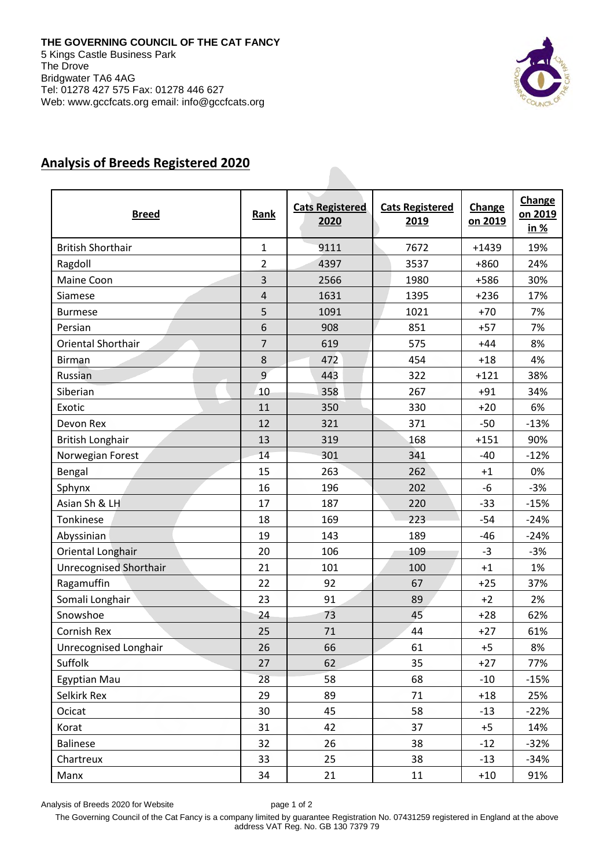

## **Analysis of Breeds Registered 2020**

| <b>Breed</b>             | Rank           | <b>Cats Registered</b><br>2020 | <b>Cats Registered</b><br>2019 | Change<br>on 2019 | Change<br>on 2019<br><u>in %</u> |
|--------------------------|----------------|--------------------------------|--------------------------------|-------------------|----------------------------------|
| <b>British Shorthair</b> | $\mathbf{1}$   | 9111                           | 7672                           | $+1439$           | 19%                              |
| Ragdoll                  | $\overline{2}$ | 4397                           | 3537                           | $+860$            | 24%                              |
| Maine Coon               | 3              | 2566                           | 1980                           | +586              | 30%                              |
| Siamese                  | $\overline{4}$ | 1631                           | 1395                           | $+236$            | 17%                              |
| <b>Burmese</b>           | 5              | 1091                           | 1021                           | $+70$             | 7%                               |
| Persian                  | 6              | 908                            | 851                            | $+57$             | 7%                               |
| Oriental Shorthair       | $\overline{7}$ | 619                            | 575                            | $+44$             | 8%                               |
| <b>Birman</b>            | 8              | 472                            | 454                            | $+18$             | 4%                               |
| Russian                  | 9              | 443                            | 322                            | $+121$            | 38%                              |
| Siberian                 | 10             | 358                            | 267                            | $+91$             | 34%                              |
| Exotic                   | 11             | 350                            | 330                            | $+20$             | 6%                               |
| Devon Rex                | 12             | 321                            | 371                            | $-50$             | $-13%$                           |
| <b>British Longhair</b>  | 13             | 319                            | 168                            | $+151$            | 90%                              |
| Norwegian Forest         | 14             | 301                            | 341                            | $-40$             | $-12%$                           |
| Bengal                   | 15             | 263                            | 262                            | $+1$              | 0%                               |
| Sphynx                   | 16             | 196                            | 202                            | $-6$              | $-3%$                            |
| Asian Sh & LH            | 17             | 187                            | 220                            | $-33$             | $-15%$                           |
| Tonkinese                | 18             | 169                            | 223                            | $-54$             | $-24%$                           |
| Abyssinian               | 19             | 143                            | 189                            | $-46$             | $-24%$                           |
| Oriental Longhair        | 20             | 106                            | 109                            | $-3$              | $-3%$                            |
| Unrecognised Shorthair   | 21             | 101                            | 100                            | $+1$              | 1%                               |
| Ragamuffin               | 22             | 92                             | 67                             | $+25$             | 37%                              |
| Somali Longhair          | 23             | 91                             | 89                             | $+2$              | 2%                               |
| Snowshoe                 | 24             | 73                             | 45                             | $+28$             | 62%                              |
| Cornish Rex              | 25             | 71                             | 44                             | $+27$             | 61%                              |
| Unrecognised Longhair    | 26             | 66                             | 61                             | $+5$              | 8%                               |
| Suffolk                  | 27             | 62                             | 35                             | $+27$             | 77%                              |
| Egyptian Mau             | 28             | 58                             | 68                             | $-10$             | $-15%$                           |
| Selkirk Rex              | 29             | 89                             | 71                             | $+18$             | 25%                              |
| Ocicat                   | 30             | 45                             | 58                             | $-13$             | $-22%$                           |
| Korat                    | 31             | 42                             | 37                             | $+5$              | 14%                              |
| <b>Balinese</b>          | 32             | 26                             | 38                             | $-12$             | $-32%$                           |
| Chartreux                | 33             | 25                             | 38                             | $-13$             | $-34%$                           |
| Manx                     | 34             | 21                             | 11                             | $+10$             | 91%                              |

Analysis of Breeds 2020 for Website page 1 of 2

The Governing Council of the Cat Fancy is a company limited by guarantee Registration No. 07431259 registered in England at the above address VAT Reg. No. GB 130 7379 79